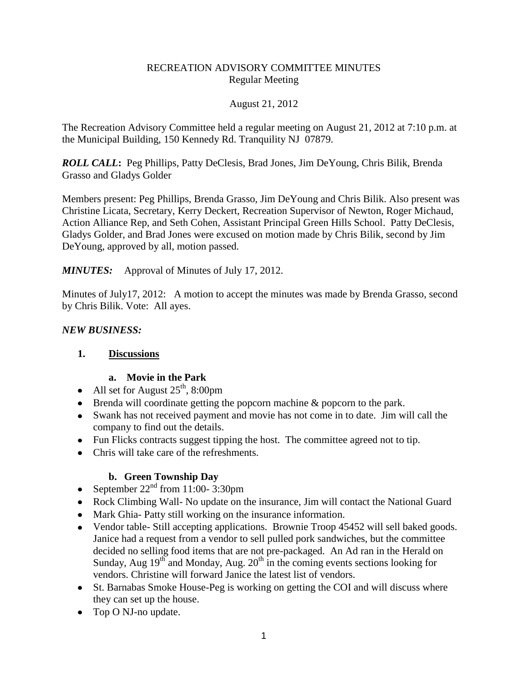### RECREATION ADVISORY COMMITTEE MINUTES Regular Meeting

#### August 21, 2012

The Recreation Advisory Committee held a regular meeting on August 21, 2012 at 7:10 p.m. at the Municipal Building, 150 Kennedy Rd. Tranquility NJ 07879.

*ROLL CALL***:** Peg Phillips, Patty DeClesis, Brad Jones, Jim DeYoung, Chris Bilik, Brenda Grasso and Gladys Golder

Members present: Peg Phillips, Brenda Grasso, Jim DeYoung and Chris Bilik. Also present was Christine Licata, Secretary, Kerry Deckert, Recreation Supervisor of Newton, Roger Michaud, Action Alliance Rep, and Seth Cohen, Assistant Principal Green Hills School. Patty DeClesis, Gladys Golder, and Brad Jones were excused on motion made by Chris Bilik, second by Jim DeYoung, approved by all, motion passed.

### *MINUTES:* Approval of Minutes of July 17, 2012.

Minutes of July17, 2012: A motion to accept the minutes was made by Brenda Grasso, second by Chris Bilik. Vote: All ayes.

#### *NEW BUSINESS:*

#### **1. Discussions**

# **a. Movie in the Park**

- All set for August  $25^{\text{th}}$ , 8:00pm
- Brenda will coordinate getting the popcorn machine & popcorn to the park.
- Swank has not received payment and movie has not come in to date. Jim will call the company to find out the details.
- Fun Flicks contracts suggest tipping the host. The committee agreed not to tip.
- Chris will take care of the refreshments.

# **b. Green Township Day**

- September  $22<sup>nd</sup>$  from 11:00-3:30pm
- Rock Climbing Wall- No update on the insurance, Jim will contact the National Guard
- Mark Ghia- Patty still working on the insurance information.
- Vendor table- Still accepting applications. Brownie Troop 45452 will sell baked goods. Janice had a request from a vendor to sell pulled pork sandwiches, but the committee decided no selling food items that are not pre-packaged. An Ad ran in the Herald on Sunday, Aug  $19^{th}$  and Monday, Aug.  $20^{th}$  in the coming events sections looking for vendors. Christine will forward Janice the latest list of vendors.
- St. Barnabas Smoke House-Peg is working on getting the COI and will discuss where they can set up the house.
- Top O NJ-no update.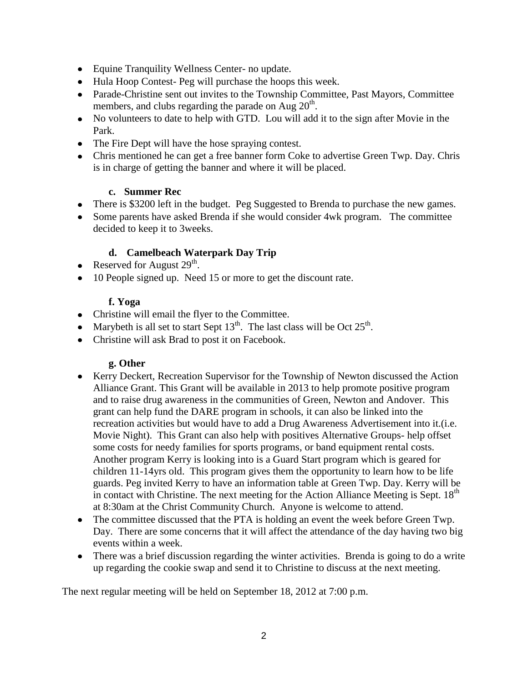- Equine Tranquility Wellness Center- no update.
- Hula Hoop Contest- Peg will purchase the hoops this week.
- Parade-Christine sent out invites to the Township Committee, Past Mayors, Committee members, and clubs regarding the parade on Aug  $20<sup>th</sup>$ .
- No volunteers to date to help with GTD. Lou will add it to the sign after Movie in the Park.
- The Fire Dept will have the hose spraying contest.
- Chris mentioned he can get a free banner form Coke to advertise Green Twp. Day. Chris is in charge of getting the banner and where it will be placed.

#### **c. Summer Rec**

- There is \$3200 left in the budget. Peg Suggested to Brenda to purchase the new games.
- Some parents have asked Brenda if she would consider 4wk program. The committee decided to keep it to 3weeks.

# **d. Camelbeach Waterpark Day Trip**

- Reserved for August  $29<sup>th</sup>$ .
- 10 People signed up. Need 15 or more to get the discount rate.

### **f. Yoga**

- Christine will email the flyer to the Committee.
- Marybeth is all set to start Sept  $13<sup>th</sup>$ . The last class will be Oct  $25<sup>th</sup>$ .
- Christine will ask Brad to post it on Facebook.

# **g. Other**

- Kerry Deckert, Recreation Supervisor for the Township of Newton discussed the Action Alliance Grant. This Grant will be available in 2013 to help promote positive program and to raise drug awareness in the communities of Green, Newton and Andover. This grant can help fund the DARE program in schools, it can also be linked into the recreation activities but would have to add a Drug Awareness Advertisement into it.(i.e. Movie Night). This Grant can also help with positives Alternative Groups- help offset some costs for needy families for sports programs, or band equipment rental costs. Another program Kerry is looking into is a Guard Start program which is geared for children 11-14yrs old. This program gives them the opportunity to learn how to be life guards. Peg invited Kerry to have an information table at Green Twp. Day. Kerry will be in contact with Christine. The next meeting for the Action Alliance Meeting is Sept.  $18<sup>th</sup>$ at 8:30am at the Christ Community Church. Anyone is welcome to attend.
- The committee discussed that the PTA is holding an event the week before Green Twp. Day. There are some concerns that it will affect the attendance of the day having two big events within a week.
- There was a brief discussion regarding the winter activities. Brenda is going to do a write up regarding the cookie swap and send it to Christine to discuss at the next meeting.

The next regular meeting will be held on September 18, 2012 at 7:00 p.m.